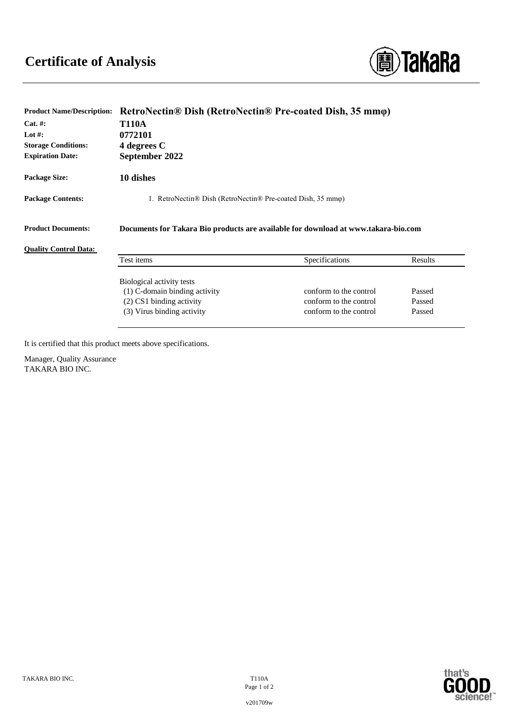

| <b>Product Name/Description:</b> | RetroNectin® Dish (RetroNectin® Pre-coated Dish, 35 mmo)                           |                        |         |
|----------------------------------|------------------------------------------------------------------------------------|------------------------|---------|
| $Cat. \#:$                       | <b>T110A</b>                                                                       |                        |         |
| Lot #:                           | 0772101                                                                            |                        |         |
| <b>Storage Conditions:</b>       | 4 degrees C                                                                        |                        |         |
| <b>Expiration Date:</b>          | September 2022                                                                     |                        |         |
| <b>Package Size:</b>             | 10 dishes                                                                          |                        |         |
| <b>Package Contents:</b>         | 1. RetroNectin® Dish (RetroNectin® Pre-coated Dish, 35 mmo)                        |                        |         |
| <b>Product Documents:</b>        | Documents for Takara Bio products are available for download at www.takara-bio.com |                        |         |
| <b>Quality Control Data:</b>     |                                                                                    |                        |         |
|                                  | Test items                                                                         | Specifications         | Results |
|                                  | Biological activity tests                                                          |                        |         |
|                                  | (1) C-domain binding activity                                                      | conform to the control | Passed  |
|                                  | $(2)$ CS1 binding activity                                                         | conform to the control | Passed  |
|                                  | (3) Virus binding activity                                                         | conform to the control | Passed  |

It is certified that this product meets above specifications.

Manager, Quality Assurance TAKARA BIO INC.



science!